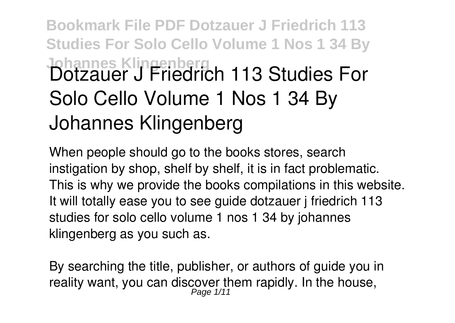## **Bookmark File PDF Dotzauer J Friedrich 113 Studies For Solo Cello Volume 1 Nos 1 34 By Johannes Klingenberg Dotzauer J Friedrich 113 Studies For Solo Cello Volume 1 Nos 1 34 By Johannes Klingenberg**

When people should go to the books stores, search instigation by shop, shelf by shelf, it is in fact problematic. This is why we provide the books compilations in this website. It will totally ease you to see guide **dotzauer j friedrich 113 studies for solo cello volume 1 nos 1 34 by johannes klingenberg** as you such as.

By searching the title, publisher, or authors of guide you in reality want, you can discover them rapidly. In the house, Page 1/11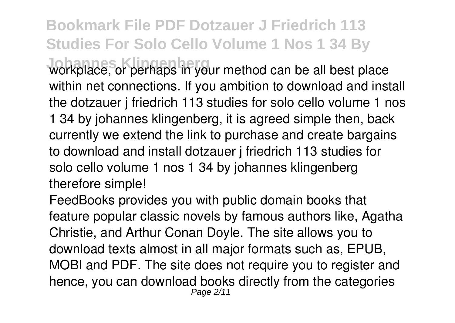**Bookmark File PDF Dotzauer J Friedrich 113 Studies For Solo Cello Volume 1 Nos 1 34 By**

**Johannes Klingenberg in your method can be all best place** within net connections. If you ambition to download and install the dotzauer j friedrich 113 studies for solo cello volume 1 nos 1 34 by johannes klingenberg, it is agreed simple then, back currently we extend the link to purchase and create bargains to download and install dotzauer j friedrich 113 studies for solo cello volume 1 nos 1 34 by johannes klingenberg therefore simple!

FeedBooks provides you with public domain books that feature popular classic novels by famous authors like, Agatha Christie, and Arthur Conan Doyle. The site allows you to download texts almost in all major formats such as, EPUB, MOBI and PDF. The site does not require you to register and hence, you can download books directly from the categories Page 2/11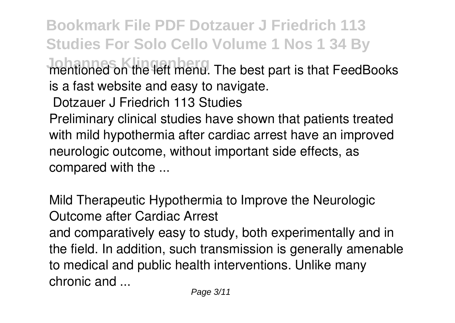**Bookmark File PDF Dotzauer J Friedrich 113 Studies For Solo Cello Volume 1 Nos 1 34 By Johnanned on the left menu.** The best part is that FeedBooks is a fast website and easy to navigate. **Dotzauer J Friedrich 113 Studies** Preliminary clinical studies have shown that patients treated with mild hypothermia after cardiac arrest have an improved neurologic outcome, without important side effects, as

compared with the ...

**Mild Therapeutic Hypothermia to Improve the Neurologic Outcome after Cardiac Arrest**

and comparatively easy to study, both experimentally and in the field. In addition, such transmission is generally amenable to medical and public health interventions. Unlike many chronic and ...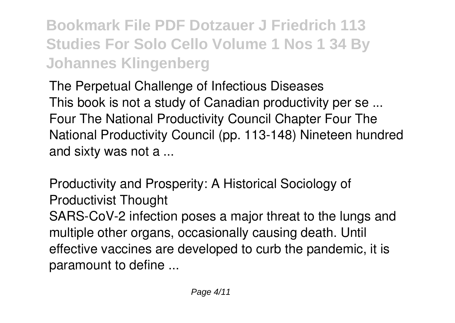**Bookmark File PDF Dotzauer J Friedrich 113 Studies For Solo Cello Volume 1 Nos 1 34 By Johannes Klingenberg**

**The Perpetual Challenge of Infectious Diseases** This book is not a study of Canadian productivity per se ... Four The National Productivity Council Chapter Four The National Productivity Council (pp. 113-148) Nineteen hundred and sixty was not a ...

**Productivity and Prosperity: A Historical Sociology of Productivist Thought** SARS-CoV-2 infection poses a major threat to the lungs and multiple other organs, occasionally causing death. Until effective vaccines are developed to curb the pandemic, it is paramount to define ...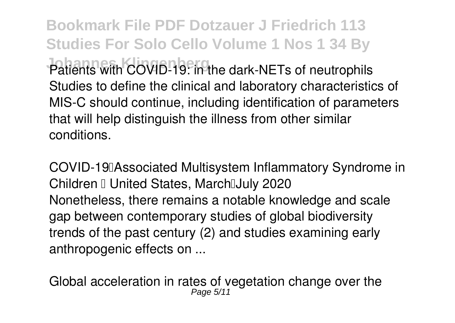**Bookmark File PDF Dotzauer J Friedrich 113 Studies For Solo Cello Volume 1 Nos 1 34 By Patients with COVID-19: in the dark-NETs of neutrophils** Studies to define the clinical and laboratory characteristics of MIS-C should continue, including identification of parameters that will help distinguish the illness from other similar conditions.

**COVID-19 Associated Multisystem Inflammatory Syndrome in Children I United States, MarchIJuly 2020** Nonetheless, there remains a notable knowledge and scale gap between contemporary studies of global biodiversity trends of the past century (2) and studies examining early anthropogenic effects on ...

**Global acceleration in rates of vegetation change over the** Page 5/11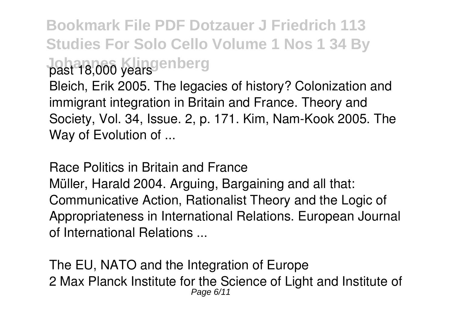## **Bookmark File PDF Dotzauer J Friedrich 113 Studies For Solo Cello Volume 1 Nos 1 34 By Johannes Klingenberg past 18,000 years**

Bleich, Erik 2005. The legacies of history? Colonization and immigrant integration in Britain and France. Theory and Society, Vol. 34, Issue. 2, p. 171. Kim, Nam-Kook 2005. The Way of Evolution of ...

**Race Politics in Britain and France** Müller, Harald 2004. Arguing, Bargaining and all that: Communicative Action, Rationalist Theory and the Logic of Appropriateness in International Relations. European Journal of International Relations ...

**The EU, NATO and the Integration of Europe** 2 Max Planck Institute for the Science of Light and Institute of Page 6/11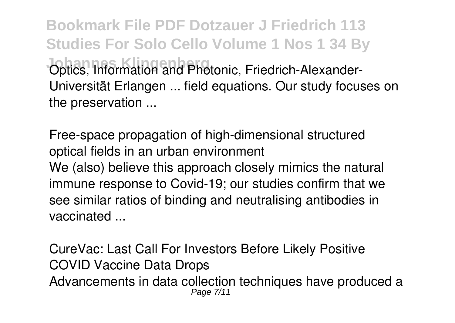**Bookmark File PDF Dotzauer J Friedrich 113 Studies For Solo Cello Volume 1 Nos 1 34 By Johns, Information and Photonic, Friedrich-Alexander-**Universität Erlangen ... field equations. Our study focuses on the preservation ...

**Free-space propagation of high-dimensional structured optical fields in an urban environment** We (also) believe this approach closely mimics the natural immune response to Covid-19; our studies confirm that we see similar ratios of binding and neutralising antibodies in vaccinated ...

**CureVac: Last Call For Investors Before Likely Positive COVID Vaccine Data Drops** Advancements in data collection techniques have produced a Page 7/11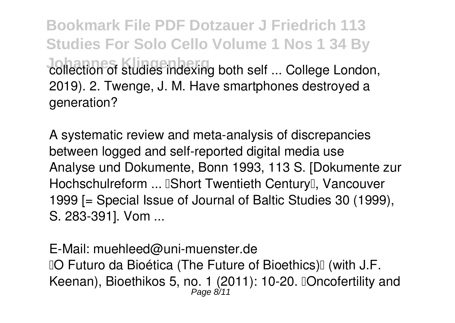**Bookmark File PDF Dotzauer J Friedrich 113 Studies For Solo Cello Volume 1 Nos 1 34 By Johannes Klindes indexing both self ... College London,** 2019). 2. Twenge, J. M. Have smartphones destroyed a generation?

**A systematic review and meta-analysis of discrepancies between logged and self-reported digital media use** Analyse und Dokumente, Bonn 1993, 113 S. [Dokumente zur Hochschulreform ... **IShort Twentieth Century** I. Vancouver 1999 [= Special Issue of Journal of Baltic Studies 30 (1999), S. 283-391]. Vom ...

**E-Mail: muehleed@uni-muenster.de IO Futuro da Bioética (The Future of Bioethics)II (with J.F.** Keenan), Bioethikos 5, no. 1 (2011): 10-20. "Oncofertility and Page 8/11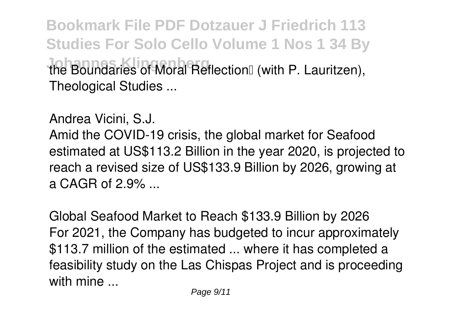**Bookmark File PDF Dotzauer J Friedrich 113 Studies For Solo Cello Volume 1 Nos 1 34 By** *<u>Ine Boundaries of Moral Reflection<sup>®</sup>* (with P. Lauritzen),</u> Theological Studies ...

**Andrea Vicini, S.J.**

Amid the COVID-19 crisis, the global market for Seafood estimated at US\$113.2 Billion in the year 2020, is projected to reach a revised size of US\$133.9 Billion by 2026, growing at a CAGR of  $2.9\%$ 

**Global Seafood Market to Reach \$133.9 Billion by 2026** For 2021, the Company has budgeted to incur approximately \$113.7 million of the estimated ... where it has completed a feasibility study on the Las Chispas Project and is proceeding with mine ...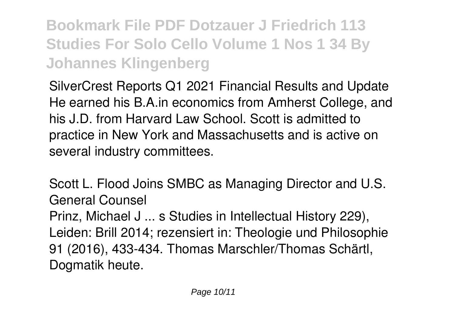**Bookmark File PDF Dotzauer J Friedrich 113 Studies For Solo Cello Volume 1 Nos 1 34 By Johannes Klingenberg**

**SilverCrest Reports Q1 2021 Financial Results and Update** He earned his B.A.in economics from Amherst College, and his J.D. from Harvard Law School. Scott is admitted to practice in New York and Massachusetts and is active on several industry committees.

**Scott L. Flood Joins SMBC as Managing Director and U.S. General Counsel** Prinz, Michael J ... s Studies in Intellectual History 229), Leiden: Brill 2014; rezensiert in: Theologie und Philosophie 91 (2016), 433-434. Thomas Marschler/Thomas Schärtl, Dogmatik heute.